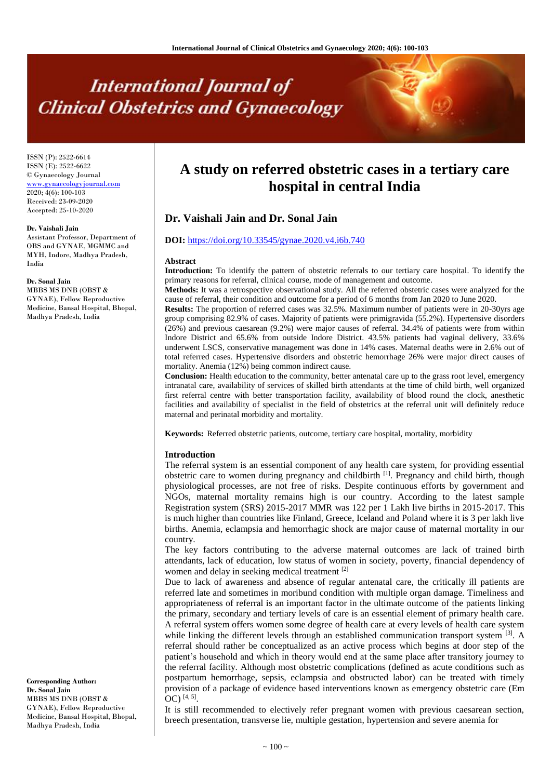# **International Journal of Clinical Obstetrics and Gynaecology**

ISSN (P): 2522-6614 ISSN (E): 2522-6622 © Gynaecology Journal <www.gynaecologyjournal.com> 2020; 4(6): 100-103 Received: 23-09-2020 Accepted: 25-10-2020

#### **Dr. Vaishali Jain**

Assistant Professor, Department of OBS and GYNAE, MGMMC and MYH, Indore, Madhya Pradesh, India

#### **Dr. Sonal Jain**

MBBS MS DNB (OBST & GYNAE), Fellow Reproductive Medicine, Bansal Hospital, Bhopal, Madhya Pradesh, India

**Corresponding Author: Dr. Sonal Jain** MBBS MS DNB (OBST & GYNAE), Fellow Reproductive Medicine, Bansal Hospital, Bhopal, Madhya Pradesh, India

## **A study on referred obstetric cases in a tertiary care hospital in central India**

### **Dr. Vaishali Jain and Dr. Sonal Jain**

#### **DOI:** <https://doi.org/10.33545/gynae.2020.v4.i6b.740>

#### **Abstract**

**Introduction:** To identify the pattern of obstetric referrals to our tertiary care hospital. To identify the primary reasons for referral, clinical course, mode of management and outcome.

**Methods:** It was a retrospective observational study. All the referred obstetric cases were analyzed for the cause of referral, their condition and outcome for a period of 6 months from Jan 2020 to June 2020.

**Results:** The proportion of referred cases was 32.5%. Maximum number of patients were in 20-30yrs age group comprising 82.9% of cases. Majority of patients were primigravida (55.2%). Hypertensive disorders (26%) and previous caesarean (9.2%) were major causes of referral. 34.4% of patients were from within Indore District and 65.6% from outside Indore District. 43.5% patients had vaginal delivery, 33.6% underwent LSCS, conservative management was done in 14% cases. Maternal deaths were in 2.6% out of total referred cases. Hypertensive disorders and obstetric hemorrhage 26% were major direct causes of mortality. Anemia (12%) being common indirect cause.

**Conclusion:** Health education to the community, better antenatal care up to the grass root level, emergency intranatal care, availability of services of skilled birth attendants at the time of child birth, well organized first referral centre with better transportation facility, availability of blood round the clock, anesthetic facilities and availability of specialist in the field of obstetrics at the referral unit will definitely reduce maternal and perinatal morbidity and mortality.

**Keywords:** Referred obstetric patients, outcome, tertiary care hospital, mortality, morbidity

#### **Introduction**

The referral system is an essential component of any health care system, for providing essential obstetric care to women during pregnancy and childbirth <sup>[1]</sup>. Pregnancy and child birth, though physiological processes, are not free of risks. Despite continuous efforts by government and NGOs, maternal mortality remains high is our country. According to the latest sample Registration system (SRS) 2015-2017 MMR was 122 per 1 Lakh live births in 2015-2017. This is much higher than countries like Finland, Greece, Iceland and Poland where it is 3 per lakh live births. Anemia, eclampsia and hemorrhagic shock are major cause of maternal mortality in our country.

The key factors contributing to the adverse maternal outcomes are lack of trained birth attendants, lack of education, low status of women in society, poverty, financial dependency of women and delay in seeking medical treatment [2]

Due to lack of awareness and absence of regular antenatal care, the critically ill patients are referred late and sometimes in moribund condition with multiple organ damage. Timeliness and appropriateness of referral is an important factor in the ultimate outcome of the patients linking the primary, secondary and tertiary levels of care is an essential element of primary health care. A referral system offers women some degree of health care at every levels of health care system while linking the different levels through an established communication transport system  $^{[3]}$ . A referral should rather be conceptualized as an active process which begins at door step of the patient's household and which in theory would end at the same place after transitory journey to the referral facility. Although most obstetric complications (defined as acute conditions such as postpartum hemorrhage, sepsis, eclampsia and obstructed labor) can be treated with timely provision of a package of evidence based interventions known as emergency obstetric care (Em OC) [4, 5] .

It is still recommended to electively refer pregnant women with previous caesarean section, breech presentation, transverse lie, multiple gestation, hypertension and severe anemia for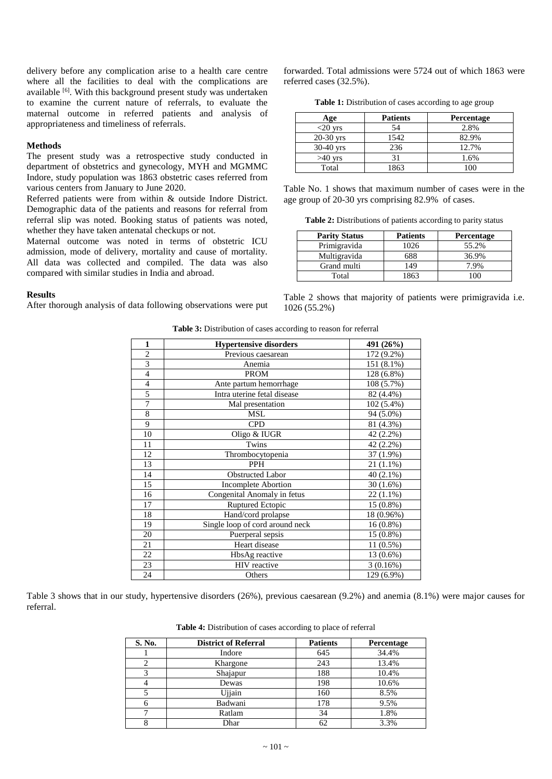delivery before any complication arise to a health care centre where all the facilities to deal with the complications are available <sup>[6]</sup>. With this background present study was undertaken to examine the current nature of referrals, to evaluate the maternal outcome in referred patients and analysis of appropriateness and timeliness of referrals.

#### **Methods**

The present study was a retrospective study conducted in department of obstetrics and gynecology, MYH and MGMMC Indore, study population was 1863 obstetric cases referred from various centers from January to June 2020.

Referred patients were from within & outside Indore District. Demographic data of the patients and reasons for referral from referral slip was noted. Booking status of patients was noted, whether they have taken antenatal checkups or not.

Maternal outcome was noted in terms of obstetric ICU admission, mode of delivery, mortality and cause of mortality. All data was collected and compiled. The data was also compared with similar studies in India and abroad.

#### **Results**

After thorough analysis of data following observations were put

forwarded. Total admissions were 5724 out of which 1863 were referred cases (32.5%).

**Table 1:** Distribution of cases according to age group

| Age         | <b>Patients</b> | <b>Percentage</b> |
|-------------|-----------------|-------------------|
| $<$ 20 yrs  | 54              | 2.8%              |
| $20-30$ yrs | 1542            | 82.9%             |
| $30-40$ yrs | 236             | 12.7%             |
| $>40$ vrs   | 31              | 1.6%              |
| Total       | 1863            | ۱n۵               |

Table No. 1 shows that maximum number of cases were in the age group of 20-30 yrs comprising 82.9% of cases.

**Table 2:** Distributions of patients according to parity status

| <b>Parity Status</b> | <b>Patients</b> | <b>Percentage</b> |
|----------------------|-----------------|-------------------|
| Primigravida         | 1026            | 55.2%             |
| Multigravida         | 688             | 36.9%             |
| Grand multi          | 149             | 7 9%              |
| Total                | 1863            |                   |

Table 2 shows that majority of patients were primigravida i.e. 1026 (55.2%)

| <b>Table 3:</b> Distribution of cases according to reason for referral |  |  |  |  |  |  |
|------------------------------------------------------------------------|--|--|--|--|--|--|
|                                                                        |  |  |  |  |  |  |

| 1              | <b>Hypertensive disorders</b>   | 491 (26%)   |
|----------------|---------------------------------|-------------|
| $\overline{2}$ | Previous caesarean              | 172 (9.2%)  |
| 3              | Anemia                          | 151 (8.1%)  |
| $\overline{4}$ | <b>PROM</b>                     | 128 (6.8%)  |
| $\overline{4}$ | Ante partum hemorrhage          | 108 (5.7%)  |
| 5              | Intra uterine fetal disease     | 82 (4.4%)   |
| 7              | Mal presentation                | 102 (5.4%)  |
| 8              | <b>MSL</b>                      | 94 (5.0%)   |
| 9              | <b>CPD</b>                      | 81 (4.3%)   |
| 10             | Oligo & IUGR                    | 42 (2.2%)   |
| 11             | Twins                           | 42 (2.2%)   |
| 12             | Thrombocytopenia                | 37 (1.9%)   |
| 13             | <b>PPH</b>                      | $21(1.1\%)$ |
| 14             | <b>Obstructed Labor</b>         | 40 (2.1%)   |
| 15             | <b>Incomplete Abortion</b>      | $30(1.6\%)$ |
| 16             | Congenital Anomaly in fetus     | $22(1.1\%)$ |
| 17             | Ruptured Ectopic                | 15 (0.8%)   |
| 18             | Hand/cord prolapse              | 18 (0.96%)  |
| 19             | Single loop of cord around neck | $16(0.8\%)$ |
| 20             | Puerperal sepsis                | 15 (0.8%)   |
| 21             | Heart disease                   | 11 (0.5%)   |
| 22             | HbsAg reactive                  | 13 (0.6%)   |
| 23             | HIV reactive                    | 3(0.16%)    |
| 24             | Others                          | 129 (6.9%)  |

Table 3 shows that in our study, hypertensive disorders (26%), previous caesarean (9.2%) and anemia (8.1%) were major causes for referral.

**Table 4:** Distribution of cases according to place of referral

| S. No.  | <b>District of Referral</b> | <b>Patients</b> | <b>Percentage</b> |
|---------|-----------------------------|-----------------|-------------------|
|         | Indore                      | 645             | 34.4%             |
|         | Khargone                    | 243             | 13.4%             |
| 3       | Shajapur                    | 188             | 10.4%             |
| 4       | Dewas                       | 198             | 10.6%             |
|         | Ujiain                      | 160             | 8.5%              |
| 6       | Badwani                     | 178             | 9.5%              |
|         | Ratlam                      | 34              | 1.8%              |
| $\circ$ | Dhar                        | 62              | 3.3%              |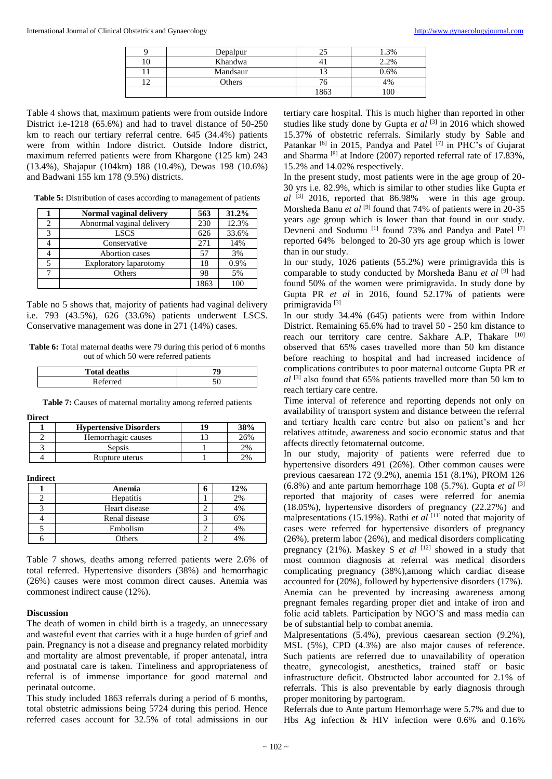| Depalpur |      | .3%     |
|----------|------|---------|
| Khandwa  |      | 2.2%    |
| Mandsaur |      | $0.6\%$ |
| Others   |      | 4%      |
|          | 1863 | 00      |

Table 4 shows that, maximum patients were from outside Indore District i.e-1218 (65.6%) and had to travel distance of 50-250 km to reach our tertiary referral centre. 645 (34.4%) patients were from within Indore district. Outside Indore district, maximum referred patients were from Khargone (125 km) 243 (13.4%), Shajapur (104km) 188 (10.4%), Dewas 198 (10.6%) and Badwani 155 km 178 (9.5%) districts.

Table 5: Distribution of cases according to management of patients

|   | Normal vaginal delivery   | 563  | 31.2% |
|---|---------------------------|------|-------|
|   | Abnormal vaginal delivery | 230  | 12.3% |
| 3 | <b>LSCS</b>               | 626  | 33.6% |
|   | Conservative              | 271  | 14%   |
|   | Abortion cases            | 57   | 3%    |
|   | Exploratory laparotomy    | 18   | 0.9%  |
|   | Others                    | 98   | 5%    |
|   |                           | 1863 | 100   |

Table no 5 shows that, majority of patients had vaginal delivery i.e. 793 (43.5%), 626 (33.6%) patients underwent LSCS. Conservative management was done in 271 (14%) cases.

**Table 6:** Total maternal deaths were 79 during this period of 6 months out of which 50 were referred patients

| <b>Total deaths</b> |   |
|---------------------|---|
|                     | u |

**Table 7:** Causes of maternal mortality among referred patients

**Direct** 

| <b>Hypertensive Disorders</b> |    |
|-------------------------------|----|
| Hemorrhagic causes            | 6% |
| Sepsis                        | 2% |
| Rupture uterus                |    |

**Indirect**

| Anemia           | n | 12% |
|------------------|---|-----|
| <b>Hepatitis</b> |   | 2%  |
| Heart disease    |   | 4%  |
| Renal disease    |   | 6%  |
| Embolism         |   | 4%  |
| <b>Others</b>    |   |     |

Table 7 shows, deaths among referred patients were 2.6% of total referred. Hypertensive disorders (38%) and hemorrhagic (26%) causes were most common direct causes. Anemia was commonest indirect cause (12%).

#### **Discussion**

The death of women in child birth is a tragedy, an unnecessary and wasteful event that carries with it a huge burden of grief and pain. Pregnancy is not a disease and pregnancy related morbidity and mortality are almost preventable, if proper antenatal, intra and postnatal care is taken. Timeliness and appropriateness of referral is of immense importance for good maternal and perinatal outcome.

This study included 1863 referrals during a period of 6 months, total obstetric admissions being 5724 during this period. Hence referred cases account for 32.5% of total admissions in our tertiary care hospital. This is much higher than reported in other studies like study done by Gupta *et al* [3] in 2016 which showed 15.37% of obstetric referrals. Similarly study by Sable and Patankar <sup>[6]</sup> in 2015, Pandya and Patel<sup>[7]</sup> in PHC's of Gujarat and Sharma<sup>[8]</sup> at Indore (2007) reported referral rate of 17.83%, 15.2% and 14.02% respectively.

In the present study, most patients were in the age group of 20- 30 yrs i.e. 82.9%, which is similar to other studies like Gupta *et al* [3] 2016, reported that 86.98% were in this age group. Morsheda Banu *et al* <sup>[9]</sup> found that 74% of patients were in 20-35 years age group which is lower than that found in our study. Devneni and Sodumu<sup>[1]</sup> found 73% and Pandya and Patel<sup>[7]</sup> reported 64% belonged to 20-30 yrs age group which is lower than in our study.

In our study, 1026 patients (55.2%) were primigravida this is comparable to study conducted by Morsheda Banu *et al* [9] had found 50% of the women were primigravida. In study done by Gupta PR *et al* in 2016, found 52.17% of patients were primigravida $^{\lbrack 3]}$ 

In our study 34.4% (645) patients were from within Indore District. Remaining 65.6% had to travel 50 - 250 km distance to reach our territory care centre. Sakhare A.P, Thakare [10] observed that 65% cases travelled more than 50 km distance before reaching to hospital and had increased incidence of complications contributes to poor maternal outcome Gupta PR *et al* [3] also found that 65% patients travelled more than 50 km to reach tertiary care centre.

Time interval of reference and reporting depends not only on availability of transport system and distance between the referral and tertiary health care centre but also on patient's and her relatives attitude, awareness and socio economic status and that affects directly fetomaternal outcome.

In our study, majority of patients were referred due to hypertensive disorders 491 (26%). Other common causes were previous caesarean 172 (9.2%), anemia 151 (8.1%), PROM 126  $(6.8\%)$  and ante partum hemorrhage 108 (5.7%). Gupta *et al* [3] reported that majority of cases were referred for anemia (18.05%), hypertensive disorders of pregnancy (22.27%) and malpresentations (15.19%). Rathi *et al* [11] noted that majority of cases were referred for hypertensive disorders of pregnancy (26%), preterm labor (26%), and medical disorders complicating pregnancy (21%). Maskey S *et al* <sup>[12]</sup> showed in a study that most common diagnosis at referral was medical disorders complicating pregnancy (38%),among which cardiac disease accounted for (20%), followed by hypertensive disorders (17%). Anemia can be prevented by increasing awareness among pregnant females regarding proper diet and intake of iron and folic acid tablets. Participation by NGO'S and mass media can be of substantial help to combat anemia.

Malpresentations (5.4%), previous caesarean section (9.2%), MSL (5%), CPD (4.3%) are also major causes of reference. Such patients are referred due to unavailability of operation theatre, gynecologist, anesthetics, trained staff or basic infrastructure deficit. Obstructed labor accounted for 2.1% of referrals. This is also preventable by early diagnosis through proper monitoring by partogram.

Referrals due to Ante partum Hemorrhage were 5.7% and due to Hbs Ag infection & HIV infection were 0.6% and 0.16%